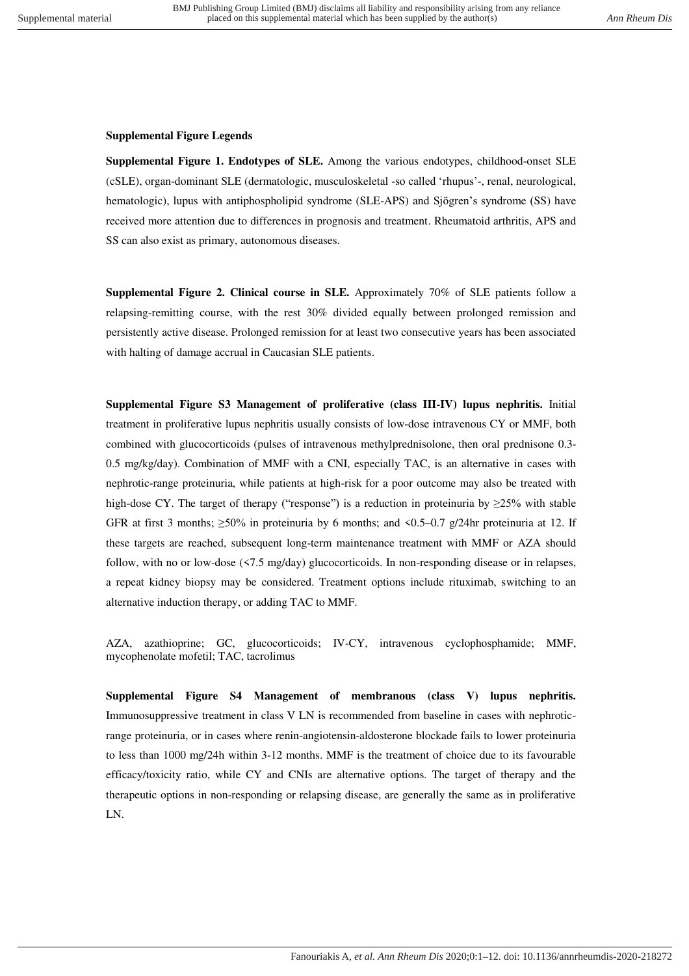## **Supplemental Figure Legends**

**Supplemental Figure 1. Endotypes of SLE.** Among the various endotypes, childhood-onset SLE (cSLE), organ-dominant SLE (dermatologic, musculoskeletal -so called "rhupus"-, renal, neurological, hematologic), lupus with antiphospholipid syndrome (SLE-APS) and Sjögren's syndrome (SS) have received more attention due to differences in prognosis and treatment. Rheumatoid arthritis, APS and SS can also exist as primary, autonomous diseases.

**Supplemental Figure 2. Clinical course in SLE.** Approximately 70% of SLE patients follow a relapsing-remitting course, with the rest 30% divided equally between prolonged remission and persistently active disease. Prolonged remission for at least two consecutive years has been associated with halting of damage accrual in Caucasian SLE patients.

**Supplemental Figure S3 Management of proliferative (class III-IV) lupus nephritis.** Initial treatment in proliferative lupus nephritis usually consists of low-dose intravenous CY or MMF, both combined with glucocorticoids (pulses of intravenous methylprednisolone, then oral prednisone 0.3- 0.5 mg/kg/day). Combination of MMF with a CNI, especially TAC, is an alternative in cases with nephrotic-range proteinuria, while patients at high-risk for a poor outcome may also be treated with high-dose CY. The target of therapy ("response") is a reduction in proteinuria by  $\geq 25\%$  with stable GFR at first 3 months;  $\geq$ 50% in proteinuria by 6 months; and <0.5–0.7 g/24hr proteinuria at 12. If these targets are reached, subsequent long-term maintenance treatment with MMF or AZA should follow, with no or low-dose (<7.5 mg/day) glucocorticoids. In non-responding disease or in relapses, a repeat kidney biopsy may be considered. Treatment options include rituximab, switching to an alternative induction therapy, or adding TAC to MMF.

AZA, azathioprine; GC, glucocorticoids; IV-CY, intravenous cyclophosphamide; MMF, mycophenolate mofetil; TAC, tacrolimus

**Supplemental Figure S4 Management of membranous (class V) lupus nephritis.**  Immunosuppressive treatment in class V LN is recommended from baseline in cases with nephroticrange proteinuria, or in cases where renin-angiotensin-aldosterone blockade fails to lower proteinuria to less than 1000 mg/24h within 3-12 months. MMF is the treatment of choice due to its favourable efficacy/toxicity ratio, while CY and CNIs are alternative options. The target of therapy and the therapeutic options in non-responding or relapsing disease, are generally the same as in proliferative LN.